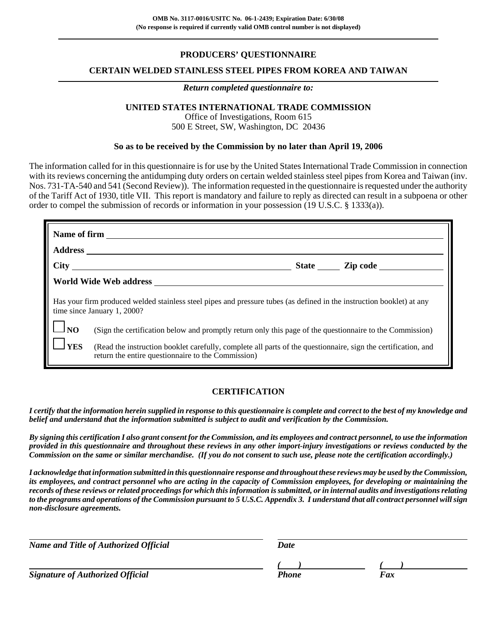# **PRODUCERS' QUESTIONNAIRE**

### **CERTAIN WELDED STAINLESS STEEL PIPES FROM KOREA AND TAIWAN**

#### *Return completed questionnaire to:*

# **UNITED STATES INTERNATIONAL TRADE COMMISSION**

Office of Investigations, Room 615 500 E Street, SW, Washington, DC 20436

#### **So as to be received by the Commission by no later than April 19, 2006**

The information called for in this questionnaire is for use by the United States International Trade Commission in connection with its reviews concerning the antidumping duty orders on certain welded stainless steel pipes from Korea and Taiwan (inv. Nos. 731-TA-540 and 541 (Second Review)). The information requested in the questionnaire is requested under the authority of the Tariff Act of 1930, title VII. This report is mandatory and failure to reply as directed can result in a subpoena or other order to compel the submission of records or information in your possession (19 U.S.C. § 1333(a)).

| Has your firm produced welded stainless steel pipes and pressure tubes (as defined in the instruction booklet) at any<br>time since January 1, 2000? |                                                                                                                                                                     |  |  |  |  |
|------------------------------------------------------------------------------------------------------------------------------------------------------|---------------------------------------------------------------------------------------------------------------------------------------------------------------------|--|--|--|--|
| $\mathbf{1}$ $\mathbf{I}$ NO                                                                                                                         | (Sign the certification below and promptly return only this page of the questionnaire to the Commission)                                                            |  |  |  |  |
| <b>TYES</b>                                                                                                                                          | (Read the instruction booklet carefully, complete all parts of the questionnaire, sign the certification, and<br>return the entire questionnaire to the Commission) |  |  |  |  |

## **CERTIFICATION**

*I certify that the information herein supplied in response to this questionnaire is complete and correct to the best of my knowledge and belief and understand that the information submitted is subject to audit and verification by the Commission.*

*By signing this certification I also grant consent for the Commission, and its employees and contract personnel, to use the information provided in this questionnaire and throughout these reviews in any other import-injury investigations or reviews conducted by the Commission on the same or similar merchandise. (If you do not consent to such use, please note the certification accordingly.)*

*I acknowledge that information submitted in this questionnaire response and throughout these reviews may be used by the Commission, its employees, and contract personnel who are acting in the capacity of Commission employees, for developing or maintaining the records of these reviews or related proceedings for which this information is submitted, or in internal audits and investigations relating to the programs and operations of the Commission pursuant to 5 U.S.C. Appendix 3. I understand that all contract personnel will sign non-disclosure agreements.*

| <b>Name and Title of Authorized Official</b> | Date  |     |  |  |  |
|----------------------------------------------|-------|-----|--|--|--|
|                                              |       |     |  |  |  |
| Signature of Authorized Official             | Phone | Fax |  |  |  |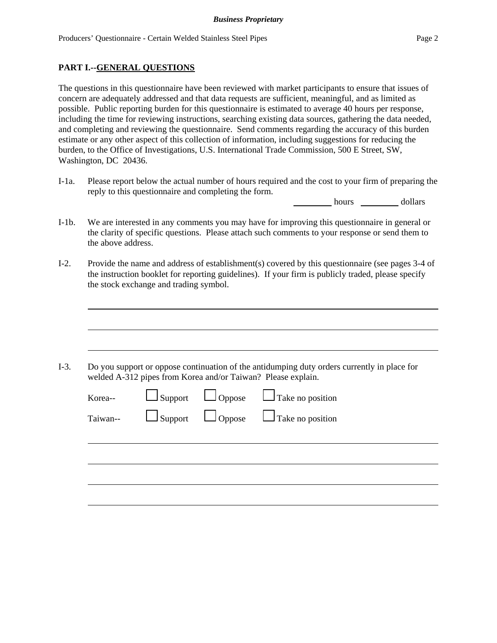### **PART I.--GENERAL QUESTIONS**

The questions in this questionnaire have been reviewed with market participants to ensure that issues of concern are adequately addressed and that data requests are sufficient, meaningful, and as limited as possible. Public reporting burden for this questionnaire is estimated to average 40 hours per response, including the time for reviewing instructions, searching existing data sources, gathering the data needed, and completing and reviewing the questionnaire. Send comments regarding the accuracy of this burden estimate or any other aspect of this collection of information, including suggestions for reducing the burden, to the Office of Investigations, U.S. International Trade Commission, 500 E Street, SW, Washington, DC 20436.

I-1a. Please report below the actual number of hours required and the cost to your firm of preparing the reply to this questionnaire and completing the form.

hours dollars

- I-1b. We are interested in any comments you may have for improving this questionnaire in general or the clarity of specific questions. Please attach such comments to your response or send them to the above address.
- I-2. Provide the name and address of establishment(s) covered by this questionnaire (see pages 3-4 of the instruction booklet for reporting guidelines). If your firm is publicly traded, please specify the stock exchange and trading symbol.

I-3. Do you support or oppose continuation of the antidumping duty orders currently in place for welded A-312 pipes from Korea and/or Taiwan? Please explain.

| Korea-- |  | $\Box$ Support $\Box$ Oppose $\Box$ Take no position<br>Taiwan-- $\Box$ Support $\Box$ Oppose $\Box$ Take no position |
|---------|--|-----------------------------------------------------------------------------------------------------------------------|
|         |  |                                                                                                                       |
|         |  |                                                                                                                       |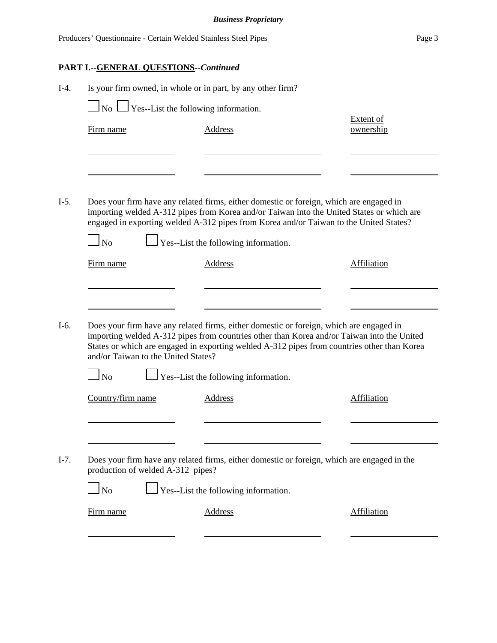|        |                                                                 | <b>Business Proprietary</b>                                                                                                                                                                                                                                                                                                   |                               |
|--------|-----------------------------------------------------------------|-------------------------------------------------------------------------------------------------------------------------------------------------------------------------------------------------------------------------------------------------------------------------------------------------------------------------------|-------------------------------|
|        | Producers' Questionnaire - Certain Welded Stainless Steel Pipes |                                                                                                                                                                                                                                                                                                                               | Page 3                        |
|        | <b>PART I.--GENERAL QUESTIONS--Continued</b>                    |                                                                                                                                                                                                                                                                                                                               |                               |
| $I-4.$ |                                                                 | Is your firm owned, in whole or in part, by any other firm?                                                                                                                                                                                                                                                                   |                               |
|        | $\Box$ No $\Box$ Yes--List the following information.           |                                                                                                                                                                                                                                                                                                                               |                               |
|        | Firm name                                                       | <b>Address</b>                                                                                                                                                                                                                                                                                                                | <b>Extent of</b><br>ownership |
|        |                                                                 |                                                                                                                                                                                                                                                                                                                               |                               |
|        |                                                                 |                                                                                                                                                                                                                                                                                                                               |                               |
| $I-5.$ | N <sub>o</sub>                                                  | Does your firm have any related firms, either domestic or foreign, which are engaged in<br>importing welded A-312 pipes from Korea and/or Taiwan into the United States or which are<br>engaged in exporting welded A-312 pipes from Korea and/or Taiwan to the United States?<br>$\Box$ Yes--List the following information. |                               |
|        | Firm name                                                       | <b>Address</b>                                                                                                                                                                                                                                                                                                                | Affiliation                   |
|        |                                                                 |                                                                                                                                                                                                                                                                                                                               |                               |
| $I-6.$ | and/or Taiwan to the United States?                             | Does your firm have any related firms, either domestic or foreign, which are engaged in<br>importing welded A-312 pipes from countries other than Korea and/or Taiwan into the United<br>States or which are engaged in exporting welded A-312 pipes from countries other than Korea                                          |                               |
|        | N <sub>o</sub>                                                  | Yes--List the following information.                                                                                                                                                                                                                                                                                          |                               |
|        | Country/firm name                                               | <b>Address</b>                                                                                                                                                                                                                                                                                                                | <b>Affiliation</b>            |
|        |                                                                 |                                                                                                                                                                                                                                                                                                                               |                               |
| $I-7.$ | production of welded A-312 pipes?                               | Does your firm have any related firms, either domestic or foreign, which are engaged in the                                                                                                                                                                                                                                   |                               |
|        | $\overline{\text{No}}$                                          | $\Box$ Yes--List the following information.                                                                                                                                                                                                                                                                                   |                               |
|        | Firm name                                                       | Address                                                                                                                                                                                                                                                                                                                       | Affiliation                   |
|        |                                                                 |                                                                                                                                                                                                                                                                                                                               |                               |
|        |                                                                 |                                                                                                                                                                                                                                                                                                                               |                               |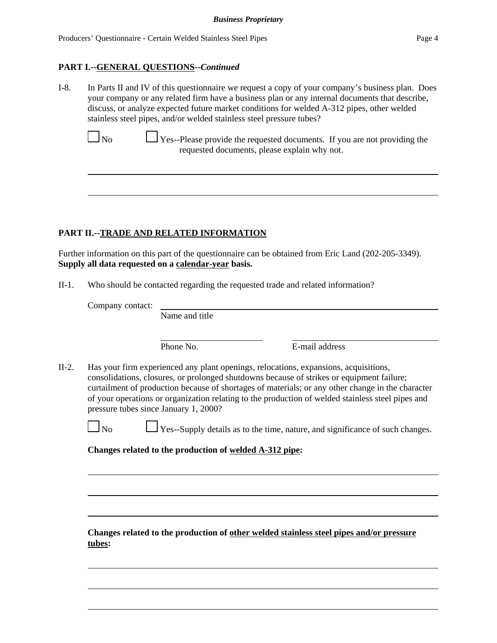### **PART I.--GENERAL QUESTIONS--***Continued*

I-8. In Parts II and IV of this questionnaire we request a copy of your company's business plan. Does your company or any related firm have a business plan or any internal documents that describe, discuss, or analyze expected future market conditions for welded A-312 pipes, other welded stainless steel pipes, and/or welded stainless steel pressure tubes?

 $\Box$  No  $\Box$  Yes--Please provide the requested documents. If you are not providing the requested documents, please explain why not.

# **PART II.--TRADE AND RELATED INFORMATION**

Further information on this part of the questionnaire can be obtained from Eric Land (202-205-3349). **Supply all data requested on a calendar-year basis.**

II-1. Who should be contacted regarding the requested trade and related information?

Company contact:

Name and title

Phone No. **E**-mail address

II-2. Has your firm experienced any plant openings, relocations, expansions, acquisitions, consolidations, closures, or prolonged shutdowns because of strikes or equipment failure; curtailment of production because of shortages of materials; or any other change in the character of your operations or organization relating to the production of welded stainless steel pipes and pressure tubes since January 1, 2000?

 $\Box$  No  $\Box$  Yes--Supply details as to the time, nature, and significance of such changes.

**Changes related to the production of welded A-312 pipe:**

**Changes related to the production of other welded stainless steel pipes and/or pressure tubes:**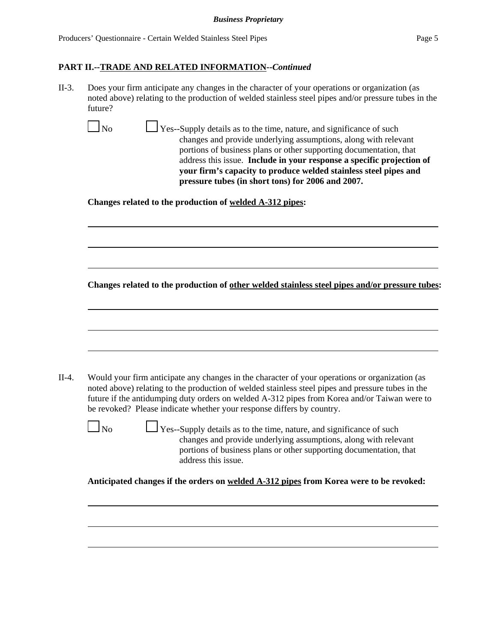II-3. Does your firm anticipate any changes in the character of your operations or organization (as noted above) relating to the production of welded stainless steel pipes and/or pressure tubes in the future?

 $\Box$  No  $\Box$  Yes--Supply details as to the time, nature, and significance of such changes and provide underlying assumptions, along with relevant portions of business plans or other supporting documentation, that address this issue. **Include in your response a specific projection of your firm's capacity to produce welded stainless steel pipes and pressure tubes (in short tons) for 2006 and 2007.**

**Changes related to the production of welded A-312 pipes:**

**Changes related to the production of other welded stainless steel pipes and/or pressure tubes:**

| II-4. | Would your firm anticipate any changes in the character of your operations or organization (as                                                                                                                                                                             |
|-------|----------------------------------------------------------------------------------------------------------------------------------------------------------------------------------------------------------------------------------------------------------------------------|
|       | noted above) relating to the production of welded stainless steel pipes and pressure tubes in the<br>future if the antidumping duty orders on welded A-312 pipes from Korea and/or Taiwan were to<br>be revoked? Please indicate whether your response differs by country. |
|       | N <sub>0</sub><br>$\Box$ Yes--Supply details as to the time, nature, and significance of such<br>changes and provide underlying assumptions, along with relevant<br>portions of business plans or other supporting documentation, that<br>address this issue.              |
|       | Anticipated changes if the orders on welded A-312 pipes from Korea were to be revoked:                                                                                                                                                                                     |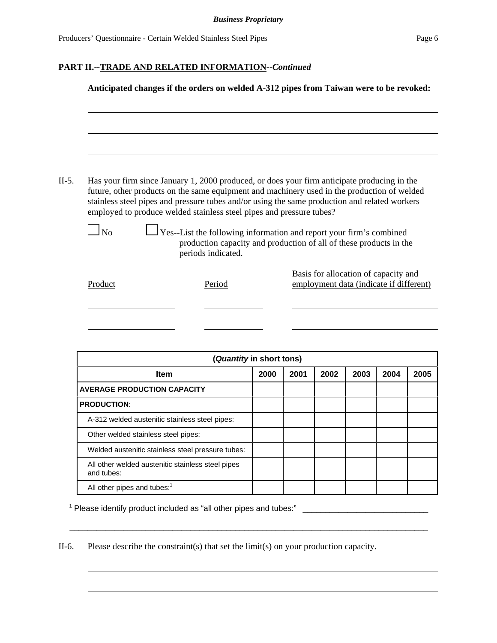|           | Has your firm since January 1, 2000 produced, or does your firm anticipate producing in the<br>future, other products on the same equipment and machinery used in the production of welded<br>stainless steel pipes and pressure tubes and/or using the same production and related workers<br>employed to produce welded stainless steel pipes and pressure tubes? |      |      |      |                                                                                 |      |      |
|-----------|---------------------------------------------------------------------------------------------------------------------------------------------------------------------------------------------------------------------------------------------------------------------------------------------------------------------------------------------------------------------|------|------|------|---------------------------------------------------------------------------------|------|------|
| $\Box$ No | Yes--List the following information and report your firm's combined<br>production capacity and production of all of these products in the<br>periods indicated.                                                                                                                                                                                                     |      |      |      |                                                                                 |      |      |
|           |                                                                                                                                                                                                                                                                                                                                                                     |      |      |      |                                                                                 |      |      |
| Product   | Period                                                                                                                                                                                                                                                                                                                                                              |      |      |      | Basis for allocation of capacity and<br>employment data (indicate if different) |      |      |
|           |                                                                                                                                                                                                                                                                                                                                                                     |      |      |      |                                                                                 |      |      |
|           |                                                                                                                                                                                                                                                                                                                                                                     |      |      |      |                                                                                 |      |      |
|           | (Quantity in short tons)<br>Item                                                                                                                                                                                                                                                                                                                                    | 2000 | 2001 | 2002 | 2003                                                                            | 2004 | 2005 |

<sup>1</sup> Please identify product included as "all other pipes and tubes:" \_\_\_\_\_\_\_\_\_\_\_\_\_\_\_\_\_\_\_\_\_\_\_\_\_\_\_\_

A-312 welded austenitic stainless steel pipes:

Welded austenitic stainless steel pressure tubes: All other welded austenitic stainless steel pipes

Other welded stainless steel pipes:

All other pipes and tubes:<sup>1</sup>

**PRODUCTION**:

and tubes:

II-6. Please describe the constraint(s) that set the limit(s) on your production capacity.

 $\overline{\phantom{a}}$  ,  $\overline{\phantom{a}}$  ,  $\overline{\phantom{a}}$  ,  $\overline{\phantom{a}}$  ,  $\overline{\phantom{a}}$  ,  $\overline{\phantom{a}}$  ,  $\overline{\phantom{a}}$  ,  $\overline{\phantom{a}}$  ,  $\overline{\phantom{a}}$  ,  $\overline{\phantom{a}}$  ,  $\overline{\phantom{a}}$  ,  $\overline{\phantom{a}}$  ,  $\overline{\phantom{a}}$  ,  $\overline{\phantom{a}}$  ,  $\overline{\phantom{a}}$  ,  $\overline{\phantom{a}}$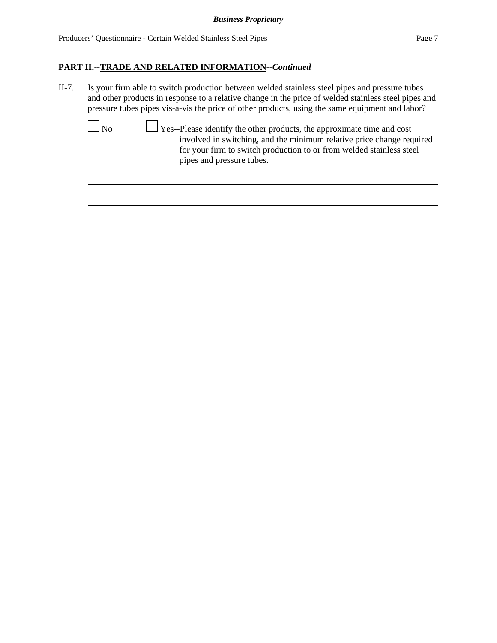II-7. Is your firm able to switch production between welded stainless steel pipes and pressure tubes and other products in response to a relative change in the price of welded stainless steel pipes and pressure tubes pipes vis-a-vis the price of other products, using the same equipment and labor?

 No Yes--Please identify the other products, the approximate time and cost involved in switching, and the minimum relative price change required for your firm to switch production to or from welded stainless steel pipes and pressure tubes.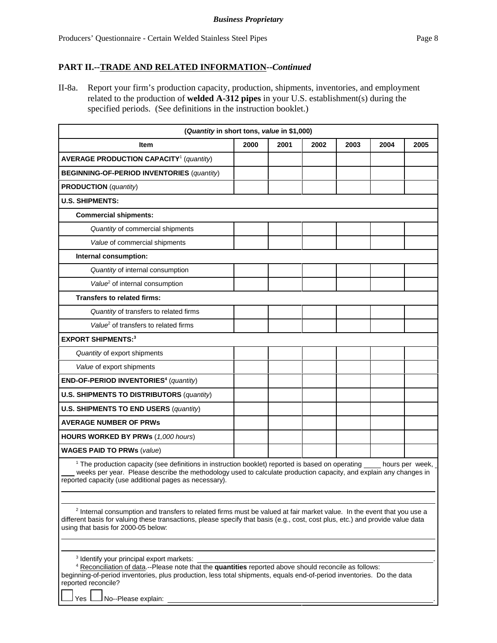II-8a. Report your firm's production capacity, production, shipments, inventories, and employment related to the production of **welded A-312 pipes** in your U.S. establishment(s) during the specified periods. (See definitions in the instruction booklet.)

| (Quantity in short tons, value in \$1,000)                                                                                                                                                                                                                                                                 |                                                                                                                                                                                                                                                      |      |      |      |      |      |  |
|------------------------------------------------------------------------------------------------------------------------------------------------------------------------------------------------------------------------------------------------------------------------------------------------------------|------------------------------------------------------------------------------------------------------------------------------------------------------------------------------------------------------------------------------------------------------|------|------|------|------|------|--|
| Item                                                                                                                                                                                                                                                                                                       | 2000                                                                                                                                                                                                                                                 | 2001 | 2002 | 2003 | 2004 | 2005 |  |
| <b>AVERAGE PRODUCTION CAPACITY<sup>1</sup></b> (quantity)                                                                                                                                                                                                                                                  |                                                                                                                                                                                                                                                      |      |      |      |      |      |  |
| <b>BEGINNING-OF-PERIOD INVENTORIES (quantity)</b>                                                                                                                                                                                                                                                          |                                                                                                                                                                                                                                                      |      |      |      |      |      |  |
| <b>PRODUCTION</b> (quantity)                                                                                                                                                                                                                                                                               |                                                                                                                                                                                                                                                      |      |      |      |      |      |  |
| <b>U.S. SHIPMENTS:</b>                                                                                                                                                                                                                                                                                     |                                                                                                                                                                                                                                                      |      |      |      |      |      |  |
| <b>Commercial shipments:</b>                                                                                                                                                                                                                                                                               |                                                                                                                                                                                                                                                      |      |      |      |      |      |  |
| Quantity of commercial shipments                                                                                                                                                                                                                                                                           |                                                                                                                                                                                                                                                      |      |      |      |      |      |  |
| Value of commercial shipments                                                                                                                                                                                                                                                                              |                                                                                                                                                                                                                                                      |      |      |      |      |      |  |
| Internal consumption:                                                                                                                                                                                                                                                                                      |                                                                                                                                                                                                                                                      |      |      |      |      |      |  |
| Quantity of internal consumption                                                                                                                                                                                                                                                                           |                                                                                                                                                                                                                                                      |      |      |      |      |      |  |
| Value <sup>2</sup> of internal consumption                                                                                                                                                                                                                                                                 |                                                                                                                                                                                                                                                      |      |      |      |      |      |  |
| <b>Transfers to related firms:</b>                                                                                                                                                                                                                                                                         |                                                                                                                                                                                                                                                      |      |      |      |      |      |  |
| Quantity of transfers to related firms                                                                                                                                                                                                                                                                     |                                                                                                                                                                                                                                                      |      |      |      |      |      |  |
| Value <sup>2</sup> of transfers to related firms                                                                                                                                                                                                                                                           |                                                                                                                                                                                                                                                      |      |      |      |      |      |  |
| <b>EXPORT SHIPMENTS:3</b>                                                                                                                                                                                                                                                                                  |                                                                                                                                                                                                                                                      |      |      |      |      |      |  |
| Quantity of export shipments                                                                                                                                                                                                                                                                               |                                                                                                                                                                                                                                                      |      |      |      |      |      |  |
| Value of export shipments                                                                                                                                                                                                                                                                                  |                                                                                                                                                                                                                                                      |      |      |      |      |      |  |
| END-OF-PERIOD INVENTORIES <sup>4</sup> (quantity)                                                                                                                                                                                                                                                          |                                                                                                                                                                                                                                                      |      |      |      |      |      |  |
| <b>U.S. SHIPMENTS TO DISTRIBUTORS (quantity)</b>                                                                                                                                                                                                                                                           |                                                                                                                                                                                                                                                      |      |      |      |      |      |  |
| <b>U.S. SHIPMENTS TO END USERS (quantity)</b>                                                                                                                                                                                                                                                              |                                                                                                                                                                                                                                                      |      |      |      |      |      |  |
| <b>AVERAGE NUMBER OF PRWS</b>                                                                                                                                                                                                                                                                              |                                                                                                                                                                                                                                                      |      |      |      |      |      |  |
| <b>HOURS WORKED BY PRWs (1,000 hours)</b>                                                                                                                                                                                                                                                                  |                                                                                                                                                                                                                                                      |      |      |      |      |      |  |
| <b>WAGES PAID TO PRWs (value)</b>                                                                                                                                                                                                                                                                          |                                                                                                                                                                                                                                                      |      |      |      |      |      |  |
| reported capacity (use additional pages as necessary).                                                                                                                                                                                                                                                     | <sup>1</sup> The production capacity (see definitions in instruction booklet) reported is based on operating<br>hours per week,<br>weeks per year. Please describe the methodology used to calculate production capacity, and explain any changes in |      |      |      |      |      |  |
| <sup>2</sup> Internal consumption and transfers to related firms must be valued at fair market value. In the event that you use a<br>different basis for valuing these transactions, please specify that basis (e.g., cost, cost plus, etc.) and provide value data<br>using that basis for 2000-05 below: |                                                                                                                                                                                                                                                      |      |      |      |      |      |  |
|                                                                                                                                                                                                                                                                                                            |                                                                                                                                                                                                                                                      |      |      |      |      |      |  |

3 Identify your principal export markets: .

| <sup>4</sup> Reconciliation of data.--Please note that the <b>quantities</b> reported above should reconcile as follows: |  |  |  |  |  |
|--------------------------------------------------------------------------------------------------------------------------|--|--|--|--|--|
| beginning-of-period inventories, plus production, less total shipments, equals end-of-period inventories. Do the data    |  |  |  |  |  |
| reported reconcile?                                                                                                      |  |  |  |  |  |

Yes **No--Please explain:**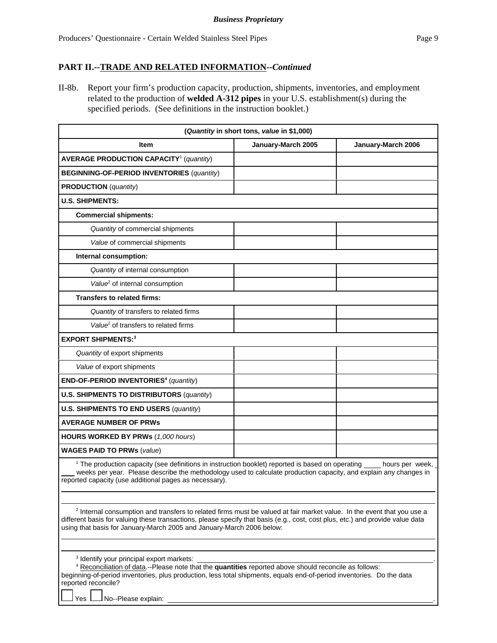II-8b. Report your firm's production capacity, production, shipments, inventories, and employment related to the production of **welded A-312 pipes** in your U.S. establishment(s) during the specified periods. (See definitions in the instruction booklet.)

| (Quantity in short tons, value in \$1,000)                                                                                                                                                                                                                                                                                                   |                    |                    |  |  |  |
|----------------------------------------------------------------------------------------------------------------------------------------------------------------------------------------------------------------------------------------------------------------------------------------------------------------------------------------------|--------------------|--------------------|--|--|--|
| Item                                                                                                                                                                                                                                                                                                                                         | January-March 2005 | January-March 2006 |  |  |  |
| <b>AVERAGE PRODUCTION CAPACITY<sup>1</sup></b> (quantity)                                                                                                                                                                                                                                                                                    |                    |                    |  |  |  |
| <b>BEGINNING-OF-PERIOD INVENTORIES (quantity)</b>                                                                                                                                                                                                                                                                                            |                    |                    |  |  |  |
| <b>PRODUCTION</b> (quantity)                                                                                                                                                                                                                                                                                                                 |                    |                    |  |  |  |
| <b>U.S. SHIPMENTS:</b>                                                                                                                                                                                                                                                                                                                       |                    |                    |  |  |  |
| <b>Commercial shipments:</b>                                                                                                                                                                                                                                                                                                                 |                    |                    |  |  |  |
| Quantity of commercial shipments                                                                                                                                                                                                                                                                                                             |                    |                    |  |  |  |
| Value of commercial shipments                                                                                                                                                                                                                                                                                                                |                    |                    |  |  |  |
| Internal consumption:                                                                                                                                                                                                                                                                                                                        |                    |                    |  |  |  |
| Quantity of internal consumption                                                                                                                                                                                                                                                                                                             |                    |                    |  |  |  |
| Value <sup>2</sup> of internal consumption                                                                                                                                                                                                                                                                                                   |                    |                    |  |  |  |
| Transfers to related firms:                                                                                                                                                                                                                                                                                                                  |                    |                    |  |  |  |
| Quantity of transfers to related firms                                                                                                                                                                                                                                                                                                       |                    |                    |  |  |  |
| Value <sup>2</sup> of transfers to related firms                                                                                                                                                                                                                                                                                             |                    |                    |  |  |  |
| <b>EXPORT SHIPMENTS:3</b>                                                                                                                                                                                                                                                                                                                    |                    |                    |  |  |  |
| Quantity of export shipments                                                                                                                                                                                                                                                                                                                 |                    |                    |  |  |  |
| Value of export shipments                                                                                                                                                                                                                                                                                                                    |                    |                    |  |  |  |
| END-OF-PERIOD INVENTORIES <sup>4</sup> (quantity)                                                                                                                                                                                                                                                                                            |                    |                    |  |  |  |
| <b>U.S. SHIPMENTS TO DISTRIBUTORS (quantity)</b>                                                                                                                                                                                                                                                                                             |                    |                    |  |  |  |
| <b>U.S. SHIPMENTS TO END USERS (quantity)</b>                                                                                                                                                                                                                                                                                                |                    |                    |  |  |  |
| <b>AVERAGE NUMBER OF PRWS</b>                                                                                                                                                                                                                                                                                                                |                    |                    |  |  |  |
| <b>HOURS WORKED BY PRWs (1,000 hours)</b>                                                                                                                                                                                                                                                                                                    |                    |                    |  |  |  |
| <b>WAGES PAID TO PRWs (value)</b>                                                                                                                                                                                                                                                                                                            |                    |                    |  |  |  |
| <sup>1</sup> The production capacity (see definitions in instruction booklet) reported is based on operating hours per week,<br>weeks per year. Please describe the methodology used to calculate production capacity, and explain any changes in<br>reported capacity (use additional pages as necessary).                                  |                    |                    |  |  |  |
| <sup>2</sup> Internal consumption and transfers to related firms must be valued at fair market value. In the event that you use a<br>different basis for valuing these transactions, please specify that basis (e.g., cost, cost plus, etc.) and provide value data<br>using that basis for January-March 2005 and January-March 2006 below: |                    |                    |  |  |  |
| <sup>3</sup> Identify your principal export markets:<br>4 Reconciliation of data.--Please note that the quantities reported above should reconcile as follows:                                                                                                                                                                               |                    |                    |  |  |  |

beginning-of-period inventories, plus production, less total shipments, equals end-of-period inventories. Do the data reported reconcile?

Yes  $\Box$  No--Please explain: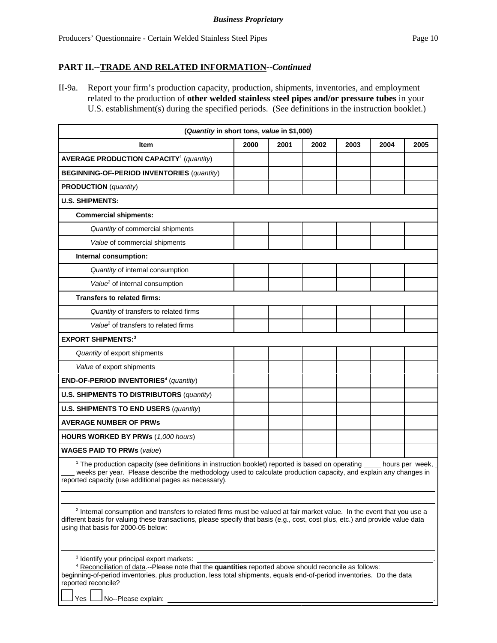II-9a. Report your firm's production capacity, production, shipments, inventories, and employment related to the production of **other welded stainless steel pipes and/or pressure tubes** in your U.S. establishment(s) during the specified periods. (See definitions in the instruction booklet.)

| (Quantity in short tons, value in \$1,000)                                                                                                                                                                                                                                                                  |      |      |      |      |      |      |
|-------------------------------------------------------------------------------------------------------------------------------------------------------------------------------------------------------------------------------------------------------------------------------------------------------------|------|------|------|------|------|------|
| Item                                                                                                                                                                                                                                                                                                        | 2000 | 2001 | 2002 | 2003 | 2004 | 2005 |
| <b>AVERAGE PRODUCTION CAPACITY<sup>1</sup></b> (quantity)                                                                                                                                                                                                                                                   |      |      |      |      |      |      |
| <b>BEGINNING-OF-PERIOD INVENTORIES (quantity)</b>                                                                                                                                                                                                                                                           |      |      |      |      |      |      |
| <b>PRODUCTION</b> (quantity)                                                                                                                                                                                                                                                                                |      |      |      |      |      |      |
| <b>U.S. SHIPMENTS:</b>                                                                                                                                                                                                                                                                                      |      |      |      |      |      |      |
| <b>Commercial shipments:</b>                                                                                                                                                                                                                                                                                |      |      |      |      |      |      |
| Quantity of commercial shipments                                                                                                                                                                                                                                                                            |      |      |      |      |      |      |
| Value of commercial shipments                                                                                                                                                                                                                                                                               |      |      |      |      |      |      |
| Internal consumption:                                                                                                                                                                                                                                                                                       |      |      |      |      |      |      |
| Quantity of internal consumption                                                                                                                                                                                                                                                                            |      |      |      |      |      |      |
| Value <sup>2</sup> of internal consumption                                                                                                                                                                                                                                                                  |      |      |      |      |      |      |
| <b>Transfers to related firms:</b>                                                                                                                                                                                                                                                                          |      |      |      |      |      |      |
| Quantity of transfers to related firms                                                                                                                                                                                                                                                                      |      |      |      |      |      |      |
| Value <sup>2</sup> of transfers to related firms                                                                                                                                                                                                                                                            |      |      |      |      |      |      |
| <b>EXPORT SHIPMENTS:3</b>                                                                                                                                                                                                                                                                                   |      |      |      |      |      |      |
| Quantity of export shipments                                                                                                                                                                                                                                                                                |      |      |      |      |      |      |
| Value of export shipments                                                                                                                                                                                                                                                                                   |      |      |      |      |      |      |
| END-OF-PERIOD INVENTORIES <sup>4</sup> (quantity)                                                                                                                                                                                                                                                           |      |      |      |      |      |      |
| <b>U.S. SHIPMENTS TO DISTRIBUTORS (quantity)</b>                                                                                                                                                                                                                                                            |      |      |      |      |      |      |
| <b>U.S. SHIPMENTS TO END USERS (quantity)</b>                                                                                                                                                                                                                                                               |      |      |      |      |      |      |
| <b>AVERAGE NUMBER OF PRWs</b>                                                                                                                                                                                                                                                                               |      |      |      |      |      |      |
| <b>HOURS WORKED BY PRWs (1,000 hours)</b>                                                                                                                                                                                                                                                                   |      |      |      |      |      |      |
| <b>WAGES PAID TO PRWs (value)</b>                                                                                                                                                                                                                                                                           |      |      |      |      |      |      |
| <sup>1</sup> The production capacity (see definitions in instruction booklet) reported is based on operating hours per week,<br>weeks per year. Please describe the methodology used to calculate production capacity, and explain any changes in<br>reported capacity (use additional pages as necessary). |      |      |      |      |      |      |
| <sup>2</sup> Internal consumption and transfers to related firms must be valued at fair market value. In the event that you use a<br>different basis for valuing these transactions, please specify that basis (e.g., cost, cost plus, etc.) and provide value data<br>using that basis for 2000-05 below:  |      |      |      |      |      |      |
| <sup>3</sup> Identify your principal export markets:<br><sup>4</sup> Personalistics of data. Please note that the quantities reported above about reconcile as follows:                                                                                                                                     |      |      |      |      |      |      |

| <sup>4</sup> Reconciliation of data.--Please note that the <b>quantities</b> reported above should reconcile as follows: |  |
|--------------------------------------------------------------------------------------------------------------------------|--|
| beginning-of-period inventories, plus production, less total shipments, equals end-of-period inventories. Do the data    |  |
| reported reconcile?                                                                                                      |  |
|                                                                                                                          |  |

 $\Box$  No--Please explain: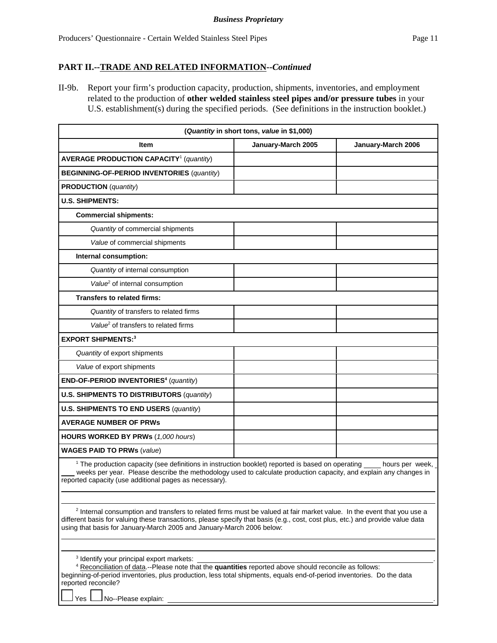II-9b. Report your firm's production capacity, production, shipments, inventories, and employment related to the production of **other welded stainless steel pipes and/or pressure tubes** in your U.S. establishment(s) during the specified periods. (See definitions in the instruction booklet.)

| (Quantity in short tons, value in \$1,000)                                                                                                                                                                                                                                                                                                   |                    |                    |  |  |
|----------------------------------------------------------------------------------------------------------------------------------------------------------------------------------------------------------------------------------------------------------------------------------------------------------------------------------------------|--------------------|--------------------|--|--|
| <b>Item</b>                                                                                                                                                                                                                                                                                                                                  | January-March 2005 | January-March 2006 |  |  |
| <b>AVERAGE PRODUCTION CAPACITY<sup>1</sup></b> (quantity)                                                                                                                                                                                                                                                                                    |                    |                    |  |  |
| <b>BEGINNING-OF-PERIOD INVENTORIES (quantity)</b>                                                                                                                                                                                                                                                                                            |                    |                    |  |  |
| <b>PRODUCTION</b> (quantity)                                                                                                                                                                                                                                                                                                                 |                    |                    |  |  |
| <b>U.S. SHIPMENTS:</b>                                                                                                                                                                                                                                                                                                                       |                    |                    |  |  |
| <b>Commercial shipments:</b>                                                                                                                                                                                                                                                                                                                 |                    |                    |  |  |
| Quantity of commercial shipments                                                                                                                                                                                                                                                                                                             |                    |                    |  |  |
| Value of commercial shipments                                                                                                                                                                                                                                                                                                                |                    |                    |  |  |
| Internal consumption:                                                                                                                                                                                                                                                                                                                        |                    |                    |  |  |
| Quantity of internal consumption                                                                                                                                                                                                                                                                                                             |                    |                    |  |  |
| Value <sup>2</sup> of internal consumption                                                                                                                                                                                                                                                                                                   |                    |                    |  |  |
| <b>Transfers to related firms:</b>                                                                                                                                                                                                                                                                                                           |                    |                    |  |  |
| Quantity of transfers to related firms                                                                                                                                                                                                                                                                                                       |                    |                    |  |  |
| Value <sup>2</sup> of transfers to related firms                                                                                                                                                                                                                                                                                             |                    |                    |  |  |
| <b>EXPORT SHIPMENTS:3</b>                                                                                                                                                                                                                                                                                                                    |                    |                    |  |  |
| Quantity of export shipments                                                                                                                                                                                                                                                                                                                 |                    |                    |  |  |
| Value of export shipments                                                                                                                                                                                                                                                                                                                    |                    |                    |  |  |
| END-OF-PERIOD INVENTORIES <sup>4</sup> (quantity)                                                                                                                                                                                                                                                                                            |                    |                    |  |  |
| <b>U.S. SHIPMENTS TO DISTRIBUTORS (quantity)</b>                                                                                                                                                                                                                                                                                             |                    |                    |  |  |
| <b>U.S. SHIPMENTS TO END USERS (quantity)</b>                                                                                                                                                                                                                                                                                                |                    |                    |  |  |
| <b>AVERAGE NUMBER OF PRWs</b>                                                                                                                                                                                                                                                                                                                |                    |                    |  |  |
| <b>HOURS WORKED BY PRWs (1,000 hours)</b>                                                                                                                                                                                                                                                                                                    |                    |                    |  |  |
| <b>WAGES PAID TO PRWs (value)</b>                                                                                                                                                                                                                                                                                                            |                    |                    |  |  |
| <sup>1</sup> The production capacity (see definitions in instruction booklet) reported is based on operating hours per week,<br>weeks per year. Please describe the methodology used to calculate production capacity, and explain any changes in<br>reported capacity (use additional pages as necessary).                                  |                    |                    |  |  |
| <sup>2</sup> Internal consumption and transfers to related firms must be valued at fair market value. In the event that you use a<br>different basis for valuing these transactions, please specify that basis (e.g., cost, cost plus, etc.) and provide value data<br>using that basis for January-March 2005 and January-March 2006 below: |                    |                    |  |  |
| <sup>3</sup> Identify your principal export markets:                                                                                                                                                                                                                                                                                         |                    |                    |  |  |

| <sup>4</sup> Reconciliation of data.--Please note that the <b>quantities</b> reported above should reconcile as follows: |  |  |  |  |
|--------------------------------------------------------------------------------------------------------------------------|--|--|--|--|
| beginning-of-period inventories, plus production, less total shipments, equals end-of-period inventories. Do the data    |  |  |  |  |
| reported reconcile?                                                                                                      |  |  |  |  |

Yes  $\Box$  No--Please explain: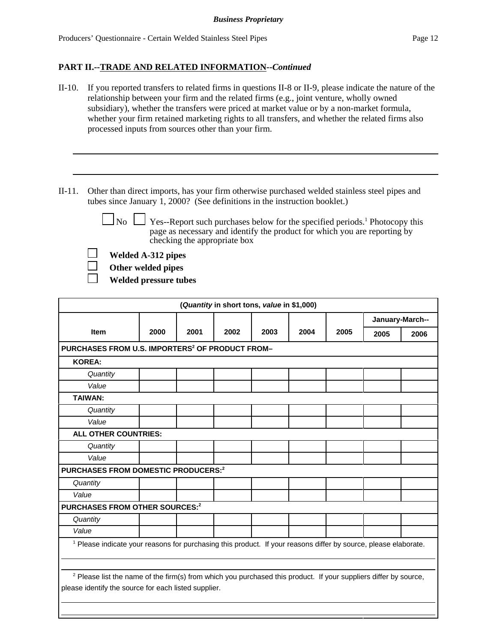- II-10. If you reported transfers to related firms in questions II-8 or II-9, please indicate the nature of the relationship between your firm and the related firms (e.g., joint venture, wholly owned subsidiary), whether the transfers were priced at market value or by a non-market formula, whether your firm retained marketing rights to all transfers, and whether the related firms also processed inputs from sources other than your firm.
- II-11. Other than direct imports, has your firm otherwise purchased welded stainless steel pipes and tubes since January 1, 2000? (See definitions in the instruction booklet.)

No  $\Box$  Yes--Report such purchases below for the specified periods.<sup>1</sup> Photocopy this page as necessary and identify the product for which you are reporting by checking the appropriate box

**Welded A-312 pipes**

**Other welded pipes**

**Welded pressure tubes**

| (Quantity in short tons, value in \$1,000)                                                                                                                                          |      |      |      |      |      |      |                 |      |
|-------------------------------------------------------------------------------------------------------------------------------------------------------------------------------------|------|------|------|------|------|------|-----------------|------|
|                                                                                                                                                                                     |      |      |      |      |      |      | January-March-- |      |
| <b>Item</b>                                                                                                                                                                         | 2000 | 2001 | 2002 | 2003 | 2004 | 2005 | 2005            | 2006 |
| PURCHASES FROM U.S. IMPORTERS <sup>2</sup> OF PRODUCT FROM-                                                                                                                         |      |      |      |      |      |      |                 |      |
| <b>KOREA:</b>                                                                                                                                                                       |      |      |      |      |      |      |                 |      |
| Quantity                                                                                                                                                                            |      |      |      |      |      |      |                 |      |
| Value                                                                                                                                                                               |      |      |      |      |      |      |                 |      |
| <b>TAIWAN:</b>                                                                                                                                                                      |      |      |      |      |      |      |                 |      |
| Quantity                                                                                                                                                                            |      |      |      |      |      |      |                 |      |
| Value                                                                                                                                                                               |      |      |      |      |      |      |                 |      |
| ALL OTHER COUNTRIES:                                                                                                                                                                |      |      |      |      |      |      |                 |      |
| Quantity                                                                                                                                                                            |      |      |      |      |      |      |                 |      |
| Value                                                                                                                                                                               |      |      |      |      |      |      |                 |      |
| PURCHASES FROM DOMESTIC PRODUCERS:2                                                                                                                                                 |      |      |      |      |      |      |                 |      |
| Quantity                                                                                                                                                                            |      |      |      |      |      |      |                 |      |
| Value                                                                                                                                                                               |      |      |      |      |      |      |                 |      |
| <b>PURCHASES FROM OTHER SOURCES:2</b>                                                                                                                                               |      |      |      |      |      |      |                 |      |
| Quantity                                                                                                                                                                            |      |      |      |      |      |      |                 |      |
| Value                                                                                                                                                                               |      |      |      |      |      |      |                 |      |
| <sup>1</sup> Please indicate your reasons for purchasing this product. If your reasons differ by source, please elaborate.                                                          |      |      |      |      |      |      |                 |      |
| <sup>2</sup> Please list the name of the firm(s) from which you purchased this product. If your suppliers differ by source,<br>please identify the source for each listed supplier. |      |      |      |      |      |      |                 |      |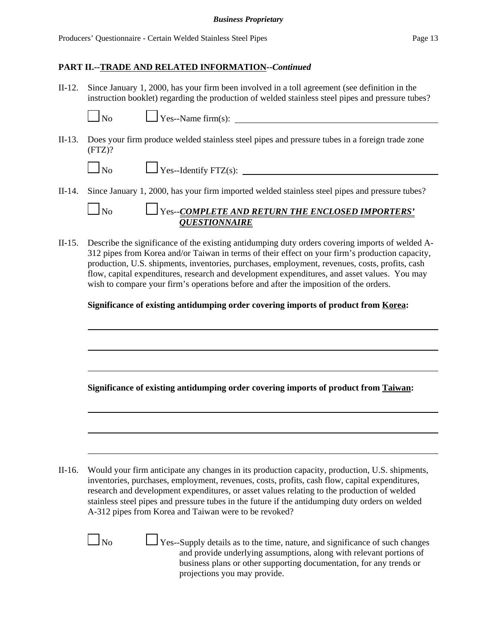II-12. Since January 1, 2000, has your firm been involved in a toll agreement (see definition in the instruction booklet) regarding the production of welded stainless steel pipes and pressure tubes?

 $N_{\text{cos}}$ -Name firm(s):

II-13. Does your firm produce welded stainless steel pipes and pressure tubes in a foreign trade zone  $(FTZ)?$ 

| Nο |  |
|----|--|
|    |  |

 $\Box$  Yes--Identify FTZ(s):

II-14. Since January 1, 2000, has your firm imported welded stainless steel pipes and pressure tubes?

# No Yes--*COMPLETE AND RETURN THE ENCLOSED IMPORTERS' QUESTIONNAIRE*

II-15. Describe the significance of the existing antidumping duty orders covering imports of welded A-312 pipes from Korea and/or Taiwan in terms of their effect on your firm's production capacity, production, U.S. shipments, inventories, purchases, employment, revenues, costs, profits, cash flow, capital expenditures, research and development expenditures, and asset values. You may wish to compare your firm's operations before and after the imposition of the orders.

## **Significance of existing antidumping order covering imports of product from Korea:**

**Significance of existing antidumping order covering imports of product from Taiwan:**

II-16. Would your firm anticipate any changes in its production capacity, production, U.S. shipments, inventories, purchases, employment, revenues, costs, profits, cash flow, capital expenditures, research and development expenditures, or asset values relating to the production of welded stainless steel pipes and pressure tubes in the future if the antidumping duty orders on welded A-312 pipes from Korea and Taiwan were to be revoked?

 $\Box$  No  $\Box$  Yes--Supply details as to the time, nature, and significance of such changes and provide underlying assumptions, along with relevant portions of business plans or other supporting documentation, for any trends or projections you may provide.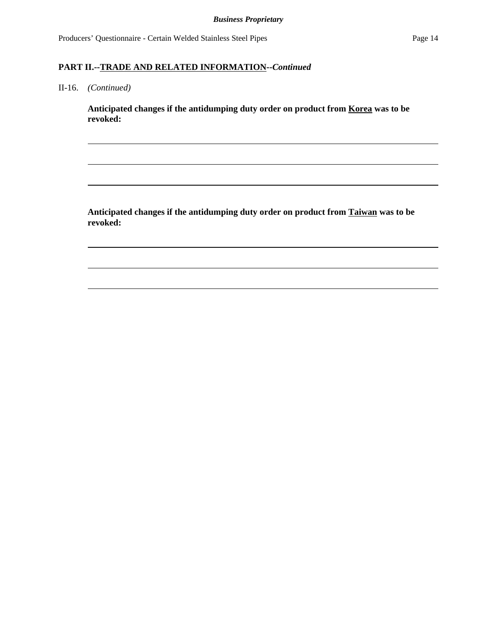Producers' Questionnaire - Certain Welded Stainless Steel Pipes Page 14

### **PART II.--TRADE AND RELATED INFORMATION--***Continued*

II-16. *(Continued)*

**Anticipated changes if the antidumping duty order on product from Korea was to be revoked:**

**Anticipated changes if the antidumping duty order on product from Taiwan was to be revoked:**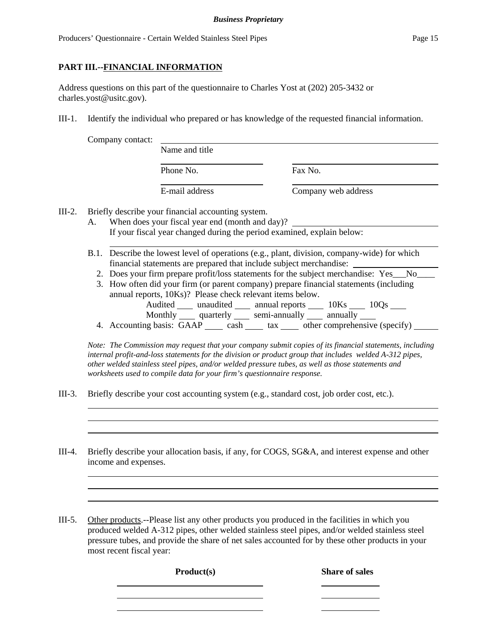### **PART III.--FINANCIAL INFORMATION**

Address questions on this part of the questionnaire to Charles Yost at (202) 205-3432 or charles.yost@usitc.gov).

III-1. Identify the individual who prepared or has knowledge of the requested financial information.

| Name and title                             |                     |  |
|--------------------------------------------|---------------------|--|
| Phone No.                                  | Fax No.             |  |
| E-mail address                             | Company web address |  |
| lescribe your financial accounting system. |                     |  |

III-2. Briefly d

- A. When does your fiscal year end (month and day)? If your fiscal year changed during the period examined, explain below:
- B.1. Describe the lowest level of operations (e.g., plant, division, company-wide) for which financial statements are prepared that include subject merchandise:
	- 2. Does your firm prepare profit/loss statements for the subject merchandise: Yes No
	- 3. How often did your firm (or parent company) prepare financial statements (including annual reports, 10Ks)? Please check relevant items below. Audited \_\_\_\_\_ unaudited \_\_\_\_\_ annual reports \_\_\_\_\_\_ 10Ks \_\_\_\_\_ 10Qs \_\_\_\_ Monthly quarterly semi-annually annually
	- 4. Accounting basis:  $GAAP$  cash tax other comprehensive (specify)

*Note: The Commission may request that your company submit copies of its financial statements, including internal profit-and-loss statements for the division or product group that includes welded A-312 pipes, other welded stainless steel pipes, and/or welded pressure tubes, as well as those statements and worksheets used to compile data for your firm's questionnaire response.*

- III-3. Briefly describe your cost accounting system (e.g., standard cost, job order cost, etc.).
- III-4. Briefly describe your allocation basis, if any, for COGS, SG&A, and interest expense and other income and expenses.
- III-5. Other products.--Please list any other products you produced in the facilities in which you produced welded A-312 pipes, other welded stainless steel pipes, and/or welded stainless steel pressure tubes, and provide the share of net sales accounted for by these other products in your most recent fiscal year:

**Product(s)** Share of sales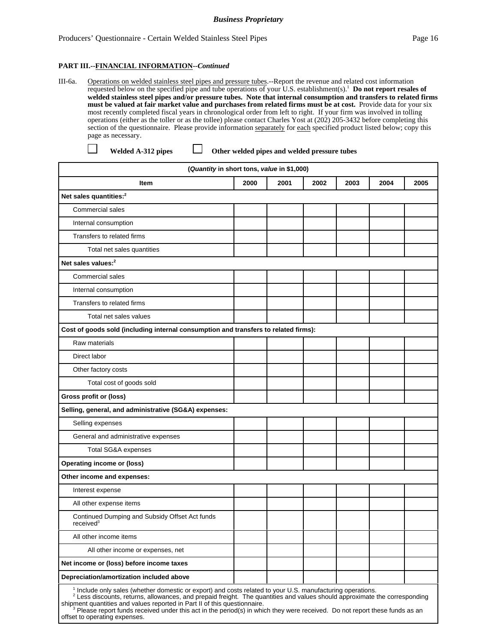III-6a. Operations on welded stainless steel pipes and pressure tubes.--Report the revenue and related cost information requested below on the specified pipe and tube operations of your U.S. establishment(s).1 **Do not report resales of welded stainless steel pipes and/or pressure tubes. Note that internal consumption and transfers to related firms must be valued at fair market value and purchases from related firms must be at cost.** Provide data for your six most recently completed fiscal years in chronological order from left to right. If your firm was involved in tolling operations (either as the toller or as the tollee) please contact Charles Yost at (202) 205-3432 before completing this section of the questionnaire. Please provide information separately for each specified product listed below; copy this page as necessary.

 $\mathsf{L}$ 

Welded A-312 pipes  $\Box$  Other welded pipes and welded pressure tubes

| (Quantity in short tons, value in \$1,000)                                                                                                                                                                                                                                                                                                                                                                                                                                   |      |      |      |      |      |      |
|------------------------------------------------------------------------------------------------------------------------------------------------------------------------------------------------------------------------------------------------------------------------------------------------------------------------------------------------------------------------------------------------------------------------------------------------------------------------------|------|------|------|------|------|------|
| <b>Item</b>                                                                                                                                                                                                                                                                                                                                                                                                                                                                  | 2000 | 2001 | 2002 | 2003 | 2004 | 2005 |
| Net sales quantities: <sup>2</sup>                                                                                                                                                                                                                                                                                                                                                                                                                                           |      |      |      |      |      |      |
| <b>Commercial sales</b>                                                                                                                                                                                                                                                                                                                                                                                                                                                      |      |      |      |      |      |      |
| Internal consumption                                                                                                                                                                                                                                                                                                                                                                                                                                                         |      |      |      |      |      |      |
| Transfers to related firms                                                                                                                                                                                                                                                                                                                                                                                                                                                   |      |      |      |      |      |      |
| Total net sales quantities                                                                                                                                                                                                                                                                                                                                                                                                                                                   |      |      |      |      |      |      |
| Net sales values: <sup>2</sup>                                                                                                                                                                                                                                                                                                                                                                                                                                               |      |      |      |      |      |      |
| <b>Commercial sales</b>                                                                                                                                                                                                                                                                                                                                                                                                                                                      |      |      |      |      |      |      |
| Internal consumption                                                                                                                                                                                                                                                                                                                                                                                                                                                         |      |      |      |      |      |      |
| Transfers to related firms                                                                                                                                                                                                                                                                                                                                                                                                                                                   |      |      |      |      |      |      |
| Total net sales values                                                                                                                                                                                                                                                                                                                                                                                                                                                       |      |      |      |      |      |      |
| Cost of goods sold (including internal consumption and transfers to related firms):                                                                                                                                                                                                                                                                                                                                                                                          |      |      |      |      |      |      |
| Raw materials                                                                                                                                                                                                                                                                                                                                                                                                                                                                |      |      |      |      |      |      |
| Direct labor                                                                                                                                                                                                                                                                                                                                                                                                                                                                 |      |      |      |      |      |      |
| Other factory costs                                                                                                                                                                                                                                                                                                                                                                                                                                                          |      |      |      |      |      |      |
| Total cost of goods sold                                                                                                                                                                                                                                                                                                                                                                                                                                                     |      |      |      |      |      |      |
| Gross profit or (loss)                                                                                                                                                                                                                                                                                                                                                                                                                                                       |      |      |      |      |      |      |
| Selling, general, and administrative (SG&A) expenses:                                                                                                                                                                                                                                                                                                                                                                                                                        |      |      |      |      |      |      |
| Selling expenses                                                                                                                                                                                                                                                                                                                                                                                                                                                             |      |      |      |      |      |      |
| General and administrative expenses                                                                                                                                                                                                                                                                                                                                                                                                                                          |      |      |      |      |      |      |
| Total SG&A expenses                                                                                                                                                                                                                                                                                                                                                                                                                                                          |      |      |      |      |      |      |
| <b>Operating income or (loss)</b>                                                                                                                                                                                                                                                                                                                                                                                                                                            |      |      |      |      |      |      |
| Other income and expenses:                                                                                                                                                                                                                                                                                                                                                                                                                                                   |      |      |      |      |      |      |
| Interest expense                                                                                                                                                                                                                                                                                                                                                                                                                                                             |      |      |      |      |      |      |
| All other expense items                                                                                                                                                                                                                                                                                                                                                                                                                                                      |      |      |      |      |      |      |
| Continued Dumping and Subsidy Offset Act funds<br>received <sup>3</sup>                                                                                                                                                                                                                                                                                                                                                                                                      |      |      |      |      |      |      |
| All other income items                                                                                                                                                                                                                                                                                                                                                                                                                                                       |      |      |      |      |      |      |
| All other income or expenses, net                                                                                                                                                                                                                                                                                                                                                                                                                                            |      |      |      |      |      |      |
| Net income or (loss) before income taxes                                                                                                                                                                                                                                                                                                                                                                                                                                     |      |      |      |      |      |      |
| Depreciation/amortization included above                                                                                                                                                                                                                                                                                                                                                                                                                                     |      |      |      |      |      |      |
| <sup>1</sup> Include only sales (whether domestic or export) and costs related to your U.S. manufacturing operations.<br><sup>2</sup> Less discounts, returns, allowances, and prepaid freight. The quantities and values should approximate the corresponding<br>shipment quantities and values reported in Part II of this questionnaire.<br>$3$ Please report funds received under this act in the period(s) in which they were received. Do not report these funds as an |      |      |      |      |      |      |

 Please report funds received under this act in the period(s) in which they were received. Do not report these funds as an offset to operating expenses.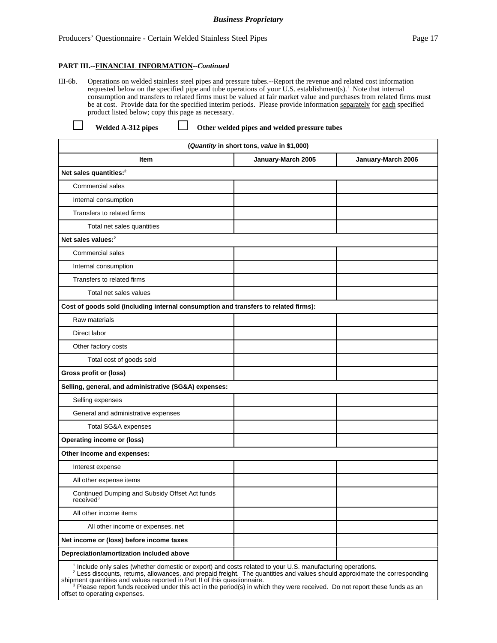III-6b. Operations on welded stainless steel pipes and pressure tubes.--Report the revenue and related cost information requested below on the specified pipe and tube operations of your U.S. establishment(s).<sup>1</sup> Note that internal consumption and transfers to related firms must be valued at fair market value and purchases from related firms must be at cost. Provide data for the specified interim periods. Please provide information separately for each specified product listed below; copy this page as necessary.

| <b>Welded A-312</b> |  |
|---------------------|--|

pipes  $\Box$  Other welded pipes and welded pressure tubes

| (Quantity in short tons, value in \$1,000)                                                                                                                                                                                                          |                    |                    |  |  |
|-----------------------------------------------------------------------------------------------------------------------------------------------------------------------------------------------------------------------------------------------------|--------------------|--------------------|--|--|
| Item                                                                                                                                                                                                                                                | January-March 2005 | January-March 2006 |  |  |
| Net sales quantities: <sup>2</sup>                                                                                                                                                                                                                  |                    |                    |  |  |
| <b>Commercial sales</b>                                                                                                                                                                                                                             |                    |                    |  |  |
| Internal consumption                                                                                                                                                                                                                                |                    |                    |  |  |
| Transfers to related firms                                                                                                                                                                                                                          |                    |                    |  |  |
| Total net sales quantities                                                                                                                                                                                                                          |                    |                    |  |  |
| Net sales values: <sup>2</sup>                                                                                                                                                                                                                      |                    |                    |  |  |
| <b>Commercial sales</b>                                                                                                                                                                                                                             |                    |                    |  |  |
| Internal consumption                                                                                                                                                                                                                                |                    |                    |  |  |
| Transfers to related firms                                                                                                                                                                                                                          |                    |                    |  |  |
| Total net sales values                                                                                                                                                                                                                              |                    |                    |  |  |
| Cost of goods sold (including internal consumption and transfers to related firms):                                                                                                                                                                 |                    |                    |  |  |
| Raw materials                                                                                                                                                                                                                                       |                    |                    |  |  |
| Direct labor                                                                                                                                                                                                                                        |                    |                    |  |  |
| Other factory costs                                                                                                                                                                                                                                 |                    |                    |  |  |
| Total cost of goods sold                                                                                                                                                                                                                            |                    |                    |  |  |
| Gross profit or (loss)                                                                                                                                                                                                                              |                    |                    |  |  |
| Selling, general, and administrative (SG&A) expenses:                                                                                                                                                                                               |                    |                    |  |  |
| Selling expenses                                                                                                                                                                                                                                    |                    |                    |  |  |
| General and administrative expenses                                                                                                                                                                                                                 |                    |                    |  |  |
| Total SG&A expenses                                                                                                                                                                                                                                 |                    |                    |  |  |
| <b>Operating income or (loss)</b>                                                                                                                                                                                                                   |                    |                    |  |  |
| Other income and expenses:                                                                                                                                                                                                                          |                    |                    |  |  |
| Interest expense                                                                                                                                                                                                                                    |                    |                    |  |  |
| All other expense items                                                                                                                                                                                                                             |                    |                    |  |  |
| Continued Dumping and Subsidy Offset Act funds<br>received <sup>3</sup>                                                                                                                                                                             |                    |                    |  |  |
| All other income items                                                                                                                                                                                                                              |                    |                    |  |  |
| All other income or expenses, net                                                                                                                                                                                                                   |                    |                    |  |  |
| Net income or (loss) before income taxes                                                                                                                                                                                                            |                    |                    |  |  |
| Depreciation/amortization included above                                                                                                                                                                                                            |                    |                    |  |  |
| <sup>1</sup> Include only sales (whether domestic or export) and costs related to your U.S. manufacturing operations.<br><sup>2</sup> Less discounts, returns, allowances, and prepaid freight. The quantities and values should approximate the co |                    |                    |  |  |

shipment quantities and values reported in Part II of this questionnaire.<br><sup>3</sup> Please report funds received under this act in the period(s) in which they were received. Do not report these funds as an offset to operating expenses.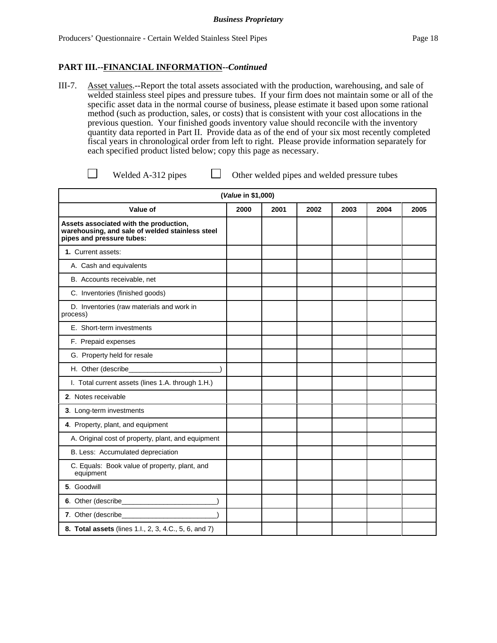III-7. Asset values.--Report the total assets associated with the production, warehousing, and sale of welded stainless steel pipes and pressure tubes. If your firm does not maintain some or all of the specific asset data in the normal course of business, please estimate it based upon some rational method (such as production, sales, or costs) that is consistent with your cost allocations in the previous question. Your finished goods inventory value should reconcile with the inventory quantity data reported in Part II. Provide data as of the end of your six most recently completed fiscal years in chronological order from left to right. Please provide information separately for each specified product listed below; copy this page as necessary.

Welded A-312 pipes  $\Box$  Other welded pipes and welded pressure tubes

|                                                                                                                        | (Value in \$1,000) |      |      |      |      |      |
|------------------------------------------------------------------------------------------------------------------------|--------------------|------|------|------|------|------|
| Value of                                                                                                               | 2000               | 2001 | 2002 | 2003 | 2004 | 2005 |
| Assets associated with the production,<br>warehousing, and sale of welded stainless steel<br>pipes and pressure tubes: |                    |      |      |      |      |      |
| 1. Current assets:                                                                                                     |                    |      |      |      |      |      |
| A. Cash and equivalents                                                                                                |                    |      |      |      |      |      |
| B. Accounts receivable, net                                                                                            |                    |      |      |      |      |      |
| C. Inventories (finished goods)                                                                                        |                    |      |      |      |      |      |
| D. Inventories (raw materials and work in<br>process)                                                                  |                    |      |      |      |      |      |
| E. Short-term investments                                                                                              |                    |      |      |      |      |      |
| F. Prepaid expenses                                                                                                    |                    |      |      |      |      |      |
| G. Property held for resale                                                                                            |                    |      |      |      |      |      |
| H. Other (describe_                                                                                                    |                    |      |      |      |      |      |
| I. Total current assets (lines 1.A. through 1.H.)                                                                      |                    |      |      |      |      |      |
| 2. Notes receivable                                                                                                    |                    |      |      |      |      |      |
| 3. Long-term investments                                                                                               |                    |      |      |      |      |      |
| 4. Property, plant, and equipment                                                                                      |                    |      |      |      |      |      |
| A. Original cost of property, plant, and equipment                                                                     |                    |      |      |      |      |      |
| B. Less: Accumulated depreciation                                                                                      |                    |      |      |      |      |      |
| C. Equals: Book value of property, plant, and<br>equipment                                                             |                    |      |      |      |      |      |
| 5. Goodwill                                                                                                            |                    |      |      |      |      |      |
|                                                                                                                        |                    |      |      |      |      |      |
| 7. Other (describe_                                                                                                    |                    |      |      |      |      |      |
| 8. Total assets (lines 1.l., 2, 3, 4.C., 5, 6, and 7)                                                                  |                    |      |      |      |      |      |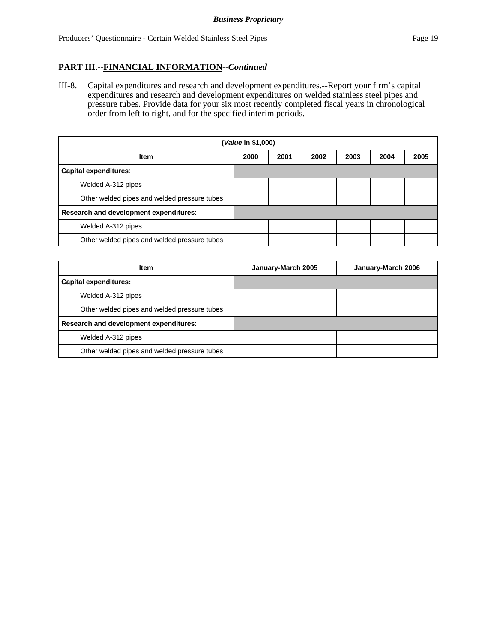III-8. Capital expenditures and research and development expenditures.--Report your firm's capital expenditures and research and development expenditures on welded stainless steel pipes and pressure tubes. Provide data for your six most recently completed fiscal years in chronological order from left to right, and for the specified interim periods.

| ( <i>Value</i> in \$1,000)                   |                                              |  |  |  |  |  |
|----------------------------------------------|----------------------------------------------|--|--|--|--|--|
| <b>Item</b>                                  | 2001<br>2002<br>2000<br>2003<br>2004<br>2005 |  |  |  |  |  |
| <b>Capital expenditures:</b>                 |                                              |  |  |  |  |  |
| Welded A-312 pipes                           |                                              |  |  |  |  |  |
| Other welded pipes and welded pressure tubes |                                              |  |  |  |  |  |
| Research and development expenditures:       |                                              |  |  |  |  |  |
| Welded A-312 pipes                           |                                              |  |  |  |  |  |
| Other welded pipes and welded pressure tubes |                                              |  |  |  |  |  |

| <b>Item</b>                                  | January-March 2005 | January-March 2006 |
|----------------------------------------------|--------------------|--------------------|
| <b>Capital expenditures:</b>                 |                    |                    |
| Welded A-312 pipes                           |                    |                    |
| Other welded pipes and welded pressure tubes |                    |                    |
| Research and development expenditures:       |                    |                    |
| Welded A-312 pipes                           |                    |                    |
| Other welded pipes and welded pressure tubes |                    |                    |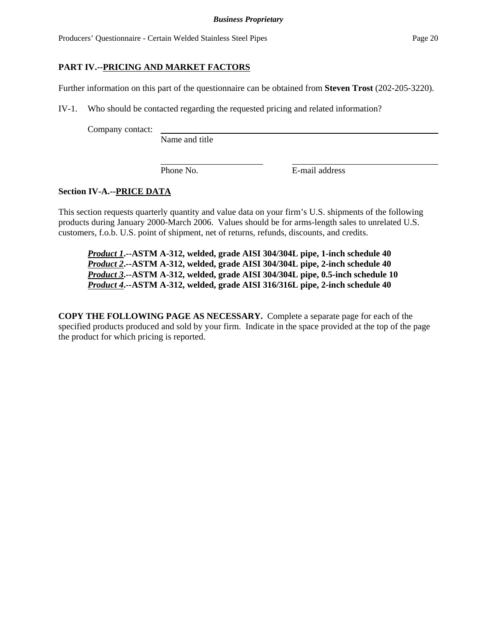# **PART IV.--PRICING AND MARKET FACTORS**

Further information on this part of the questionnaire can be obtained from **Steven Trost** (202-205-3220).

IV-1. Who should be contacted regarding the requested pricing and related information?

Company contact:

Name and title

Phone No. **E-mail address** 

## **Section IV-A.--PRICE DATA**

This section requests quarterly quantity and value data on your firm's U.S. shipments of the following products during January 2000-March 2006. Values should be for arms-length sales to unrelated U.S. customers, f.o.b. U.S. point of shipment, net of returns, refunds, discounts, and credits.

*Product 1***.--ASTM A-312, welded, grade AISI 304/304L pipe, 1-inch schedule 40** *Product 2***.--ASTM A-312, welded, grade AISI 304/304L pipe, 2-inch schedule 40** *Product 3***.--ASTM A-312, welded, grade AISI 304/304L pipe, 0.5-inch schedule 10** *Product 4***.--ASTM A-312, welded, grade AISI 316/316L pipe, 2-inch schedule 40**

**COPY THE FOLLOWING PAGE AS NECESSARY.** Complete a separate page for each of the specified products produced and sold by your firm. Indicate in the space provided at the top of the page the product for which pricing is reported.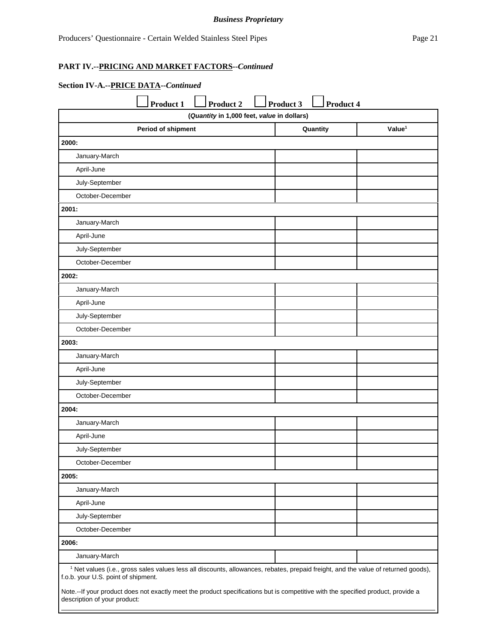#### *Business Proprietary*

### **PART IV.--PRICING AND MARKET FACTORS--***Continued*

# **Section IV-A.--PRICE DATA--***Continued*

|                                                                                                                                                                                      | <b>Product 1</b>   | <b>Product 2</b>                           | Product 3 | Product 4 |                    |
|--------------------------------------------------------------------------------------------------------------------------------------------------------------------------------------|--------------------|--------------------------------------------|-----------|-----------|--------------------|
|                                                                                                                                                                                      |                    | (Quantity in 1,000 feet, value in dollars) |           |           |                    |
|                                                                                                                                                                                      | Period of shipment |                                            |           | Quantity  | Value <sup>1</sup> |
| 2000:                                                                                                                                                                                |                    |                                            |           |           |                    |
| January-March                                                                                                                                                                        |                    |                                            |           |           |                    |
| April-June                                                                                                                                                                           |                    |                                            |           |           |                    |
| July-September                                                                                                                                                                       |                    |                                            |           |           |                    |
| October-December                                                                                                                                                                     |                    |                                            |           |           |                    |
| 2001:                                                                                                                                                                                |                    |                                            |           |           |                    |
| January-March                                                                                                                                                                        |                    |                                            |           |           |                    |
| April-June                                                                                                                                                                           |                    |                                            |           |           |                    |
| July-September                                                                                                                                                                       |                    |                                            |           |           |                    |
| October-December                                                                                                                                                                     |                    |                                            |           |           |                    |
| 2002:                                                                                                                                                                                |                    |                                            |           |           |                    |
| January-March                                                                                                                                                                        |                    |                                            |           |           |                    |
| April-June                                                                                                                                                                           |                    |                                            |           |           |                    |
| July-September                                                                                                                                                                       |                    |                                            |           |           |                    |
| October-December                                                                                                                                                                     |                    |                                            |           |           |                    |
| 2003:                                                                                                                                                                                |                    |                                            |           |           |                    |
| January-March                                                                                                                                                                        |                    |                                            |           |           |                    |
| April-June                                                                                                                                                                           |                    |                                            |           |           |                    |
| July-September                                                                                                                                                                       |                    |                                            |           |           |                    |
| October-December                                                                                                                                                                     |                    |                                            |           |           |                    |
| 2004:                                                                                                                                                                                |                    |                                            |           |           |                    |
| January-March                                                                                                                                                                        |                    |                                            |           |           |                    |
| April-June                                                                                                                                                                           |                    |                                            |           |           |                    |
| July-September                                                                                                                                                                       |                    |                                            |           |           |                    |
| October-December                                                                                                                                                                     |                    |                                            |           |           |                    |
| 2005:                                                                                                                                                                                |                    |                                            |           |           |                    |
| January-March                                                                                                                                                                        |                    |                                            |           |           |                    |
| April-June                                                                                                                                                                           |                    |                                            |           |           |                    |
| July-September                                                                                                                                                                       |                    |                                            |           |           |                    |
| October-December                                                                                                                                                                     |                    |                                            |           |           |                    |
| 2006:                                                                                                                                                                                |                    |                                            |           |           |                    |
| January-March                                                                                                                                                                        |                    |                                            |           |           |                    |
| <sup>1</sup> Net values (i.e., gross sales values less all discounts, allowances, rebates, prepaid freight, and the value of returned goods),<br>f.o.b. your U.S. point of shipment. |                    |                                            |           |           |                    |
| Note.--If your product does not exactly meet the product specifications but is competitive with the specified product, provide a<br>description of your product:                     |                    |                                            |           |           |                    |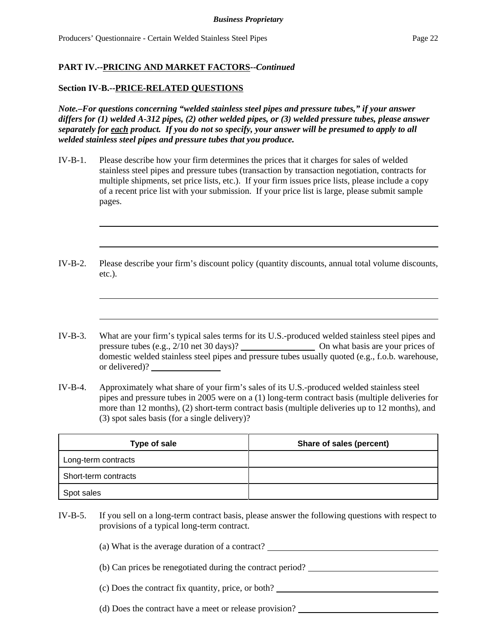### **Section IV-B.--PRICE-RELATED QUESTIONS**

*Note.–For questions concerning "welded stainless steel pipes and pressure tubes," if your answer differs for (1) welded A-312 pipes, (2) other welded pipes, or (3) welded pressure tubes, please answer separately for each product. If you do not so specify, your answer will be presumed to apply to all welded stainless steel pipes and pressure tubes that you produce.*

- IV-B-1. Please describe how your firm determines the prices that it charges for sales of welded stainless steel pipes and pressure tubes (transaction by transaction negotiation, contracts for multiple shipments, set price lists, etc.). If your firm issues price lists, please include a copy of a recent price list with your submission. If your price list is large, please submit sample pages.
- IV-B-2. Please describe your firm's discount policy (quantity discounts, annual total volume discounts, etc.).
- IV-B-3. What are your firm's typical sales terms for its U.S.-produced welded stainless steel pipes and pressure tubes (e.g., 2/10 net 30 days)? On what basis are your prices of domestic welded stainless steel pipes and pressure tubes usually quoted (e.g., f.o.b. warehouse, or delivered)?
- IV-B-4. Approximately what share of your firm's sales of its U.S.-produced welded stainless steel pipes and pressure tubes in 2005 were on a (1) long-term contract basis (multiple deliveries for more than 12 months), (2) short-term contract basis (multiple deliveries up to 12 months), and (3) spot sales basis (for a single delivery)?

| Type of sale         | Share of sales (percent) |
|----------------------|--------------------------|
| Long-term contracts  |                          |
| Short-term contracts |                          |
| Spot sales           |                          |

IV-B-5. If you sell on a long-term contract basis, please answer the following questions with respect to provisions of a typical long-term contract.

(a) What is the average duration of a contract?

- (b) Can prices be renegotiated during the contract period?
- (c) Does the contract fix quantity, price, or both?
- (d) Does the contract have a meet or release provision?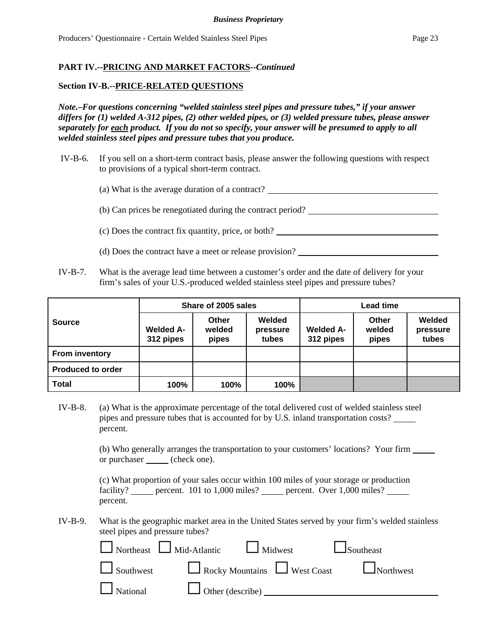#### **Section IV-B.--PRICE-RELATED QUESTIONS**

*Note.–For questions concerning "welded stainless steel pipes and pressure tubes," if your answer differs for (1) welded A-312 pipes, (2) other welded pipes, or (3) welded pressure tubes, please answer separately for each product. If you do not so specify, your answer will be presumed to apply to all welded stainless steel pipes and pressure tubes that you produce.*

 IV-B-6. If you sell on a short-term contract basis, please answer the following questions with respect to provisions of a typical short-term contract.

(a) What is the average duration of a contract?

(b) Can prices be renegotiated during the contract period?

(c) Does the contract fix quantity, price, or both?

- (d) Does the contract have a meet or release provision?
- IV-B-7. What is the average lead time between a customer's order and the date of delivery for your firm's sales of your U.S.-produced welded stainless steel pipes and pressure tubes?

|                          | Share of 2005 sales           |                          |                             | Lead time                     |                          |                             |
|--------------------------|-------------------------------|--------------------------|-----------------------------|-------------------------------|--------------------------|-----------------------------|
| <b>Source</b>            | <b>Welded A-</b><br>312 pipes | Other<br>welded<br>pipes | Welded<br>pressure<br>tubes | <b>Welded A-</b><br>312 pipes | Other<br>welded<br>pipes | Welded<br>pressure<br>tubes |
| <b>From inventory</b>    |                               |                          |                             |                               |                          |                             |
| <b>Produced to order</b> |                               |                          |                             |                               |                          |                             |
| <b>Total</b>             | 100%                          | 100%                     | 100%                        |                               |                          |                             |

IV-B-8. (a) What is the approximate percentage of the total delivered cost of welded stainless steel pipes and pressure tubes that is accounted for by U.S. inland transportation costs? percent.

> (b) Who generally arranges the transportation to your customers' locations? Your firm or purchaser (check one).

|          |  | (c) What proportion of your sales occur within 100 miles of your storage or production |  |
|----------|--|----------------------------------------------------------------------------------------|--|
|          |  | facility? percent. 101 to 1,000 miles? percent. Over 1,000 miles?                      |  |
| percent. |  |                                                                                        |  |

IV-B-9. What is the geographic market area in the United States served by your firm's welded stainless steel pipes and pressure tubes?

| $\Box$ Northeast $\Box$ Mid-Atlantic $\Box$ Midwest $\Box$ Southeast |                                                |
|----------------------------------------------------------------------|------------------------------------------------|
|                                                                      | Southwest Rocky Mountains West Coast Northwest |
| National U Other (describe) ________                                 |                                                |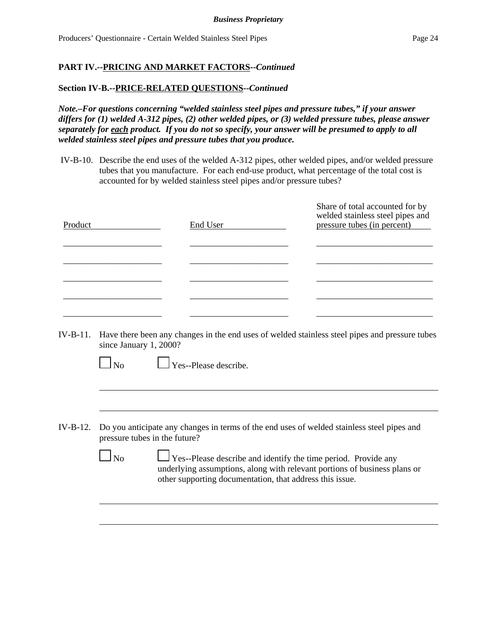### **Section IV-B.--PRICE-RELATED QUESTIONS--***Continued*

*Note.–For questions concerning "welded stainless steel pipes and pressure tubes," if your answer differs for (1) welded A-312 pipes, (2) other welded pipes, or (3) welded pressure tubes, please answer separately for each product. If you do not so specify, your answer will be presumed to apply to all welded stainless steel pipes and pressure tubes that you produce.*

 IV-B-10. Describe the end uses of the welded A-312 pipes, other welded pipes, and/or welded pressure tubes that you manufacture. For each end-use product, what percentage of the total cost is accounted for by welded stainless steel pipes and/or pressure tubes?

| Product | End User | Share of total accounted for by<br>welded stainless steel pipes and<br>pressure tubes (in percent) |
|---------|----------|----------------------------------------------------------------------------------------------------|
|         |          |                                                                                                    |
|         |          |                                                                                                    |
|         |          |                                                                                                    |

IV-B-11. Have there been any changes in the end uses of welded stainless steel pipes and pressure tubes since January 1, 2000?

No Yes--Please describe.

IV-B-12. Do you anticipate any changes in terms of the end uses of welded stainless steel pipes and pressure tubes in the future?

|--|--|

 $\blacksquare$ 

 No Yes--Please describe and identify the time period. Provide any underlying assumptions, along with relevant portions of business plans or other supporting documentation, that address this issue.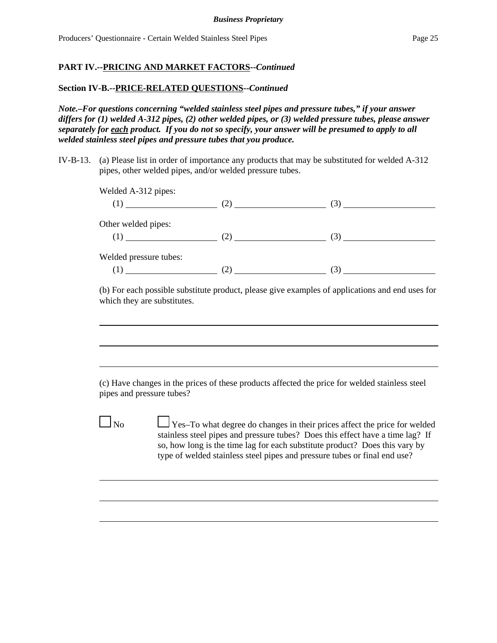# **Section IV-B.--PRICE-RELATED QUESTIONS--***Continued*

*Note.–For questions concerning "welded stainless steel pipes and pressure tubes," if your answer differs for (1) welded A-312 pipes, (2) other welded pipes, or (3) welded pressure tubes, please answer separately for each product. If you do not so specify, your answer will be presumed to apply to all welded stainless steel pipes and pressure tubes that you produce.*

IV-B-13. (a) Please list in order of importance any products that may be substituted for welded A-312 pipes, other welded pipes, and/or welded pressure tubes.

| Welded A-312 pipes:    |                           | $(1)$ (1) (2) (3) |
|------------------------|---------------------------|-------------------|
| Other welded pipes:    | $(1)$ (1) (2) (2) (3) (3) |                   |
| Welded pressure tubes: | $\frac{(1)}{2}$ (2) (3)   |                   |

(b) For each possible substitute product, please give examples of applications and end uses for which they are substitutes.

(c) Have changes in the prices of these products affected the price for welded stainless steel pipes and pressure tubes?

 $\Box$  No  $\Box$  Yes–To what degree do changes in their prices affect the price for welded stainless steel pipes and pressure tubes? Does this effect have a time lag? If so, how long is the time lag for each substitute product? Does this vary by type of welded stainless steel pipes and pressure tubes or final end use?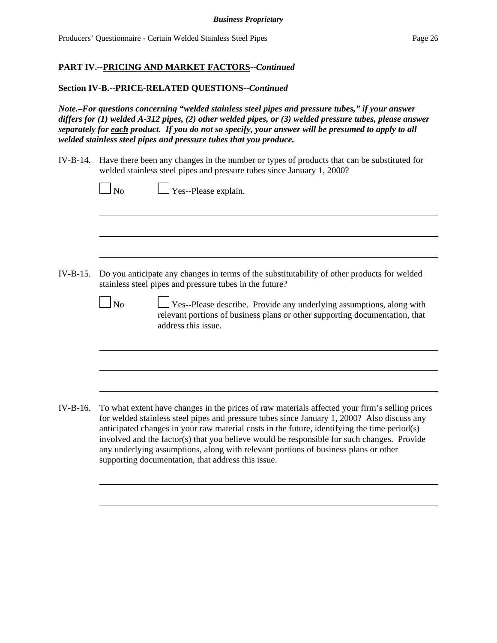### **Section IV-B.--PRICE-RELATED QUESTIONS--***Continued*

supporting documentation, that address this issue.

*Note.–For questions concerning "welded stainless steel pipes and pressure tubes," if your answer differs for (1) welded A-312 pipes, (2) other welded pipes, or (3) welded pressure tubes, please answer separately for each product. If you do not so specify, your answer will be presumed to apply to all welded stainless steel pipes and pressure tubes that you produce.*

IV-B-14. Have there been any changes in the number or types of products that can be substituted for welded stainless steel pipes and pressure tubes since January 1, 2000?

|          | Yes--Please explain.<br>N <sub>o</sub>                                                                                                                                                                                                                                                                                                                                                                                                                                             |
|----------|------------------------------------------------------------------------------------------------------------------------------------------------------------------------------------------------------------------------------------------------------------------------------------------------------------------------------------------------------------------------------------------------------------------------------------------------------------------------------------|
|          |                                                                                                                                                                                                                                                                                                                                                                                                                                                                                    |
| IV-B-15. | Do you anticipate any changes in terms of the substitutability of other products for welded<br>stainless steel pipes and pressure tubes in the future?                                                                                                                                                                                                                                                                                                                             |
|          | $\Box$ Yes--Please describe. Provide any underlying assumptions, along with<br>$\Box$ No<br>relevant portions of business plans or other supporting documentation, that<br>address this issue.                                                                                                                                                                                                                                                                                     |
|          |                                                                                                                                                                                                                                                                                                                                                                                                                                                                                    |
| IV-B-16. | To what extent have changes in the prices of raw materials affected your firm's selling prices<br>for welded stainless steel pipes and pressure tubes since January 1, 2000? Also discuss any<br>anticipated changes in your raw material costs in the future, identifying the time period(s)<br>involved and the factor(s) that you believe would be responsible for such changes. Provide<br>any underlying assumptions, along with relevant portions of business plans or other |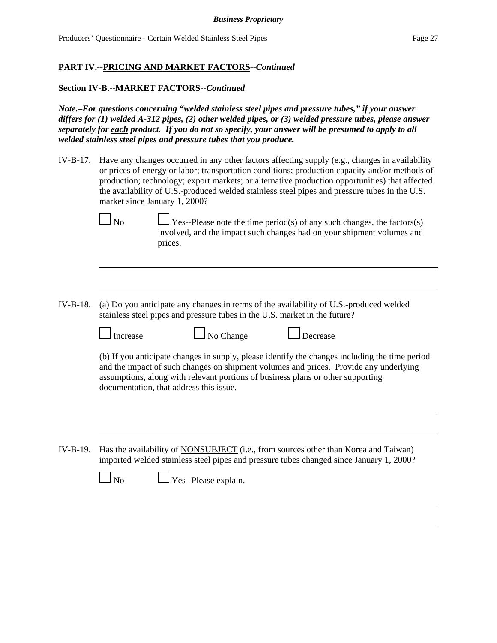### **Section IV-B.--MARKET FACTORS--***Continued*

*Note.–For questions concerning "welded stainless steel pipes and pressure tubes," if your answer differs for (1) welded A-312 pipes, (2) other welded pipes, or (3) welded pressure tubes, please answer separately for each product. If you do not so specify, your answer will be presumed to apply to all welded stainless steel pipes and pressure tubes that you produce.*

IV-B-17. Have any changes occurred in any other factors affecting supply (e.g., changes in availability or prices of energy or labor; transportation conditions; production capacity and/or methods of production; technology; export markets; or alternative production opportunities) that affected the availability of U.S.-produced welded stainless steel pipes and pressure tubes in the U.S. market since January 1, 2000?



 $\Box$  No  $\Box$  Yes--Please note the time period(s) of any such changes, the factors(s) involved, and the impact such changes had on your shipment volumes and prices.

IV-B-18. (a) Do you anticipate any changes in terms of the availability of U.S.-produced welded stainless steel pipes and pressure tubes in the U.S. market in the future?

| Increase                                | No Change | Decrease                                                                                                                                                                                                                                                                   |
|-----------------------------------------|-----------|----------------------------------------------------------------------------------------------------------------------------------------------------------------------------------------------------------------------------------------------------------------------------|
| documentation, that address this issue. |           | (b) If you anticipate changes in supply, please identify the changes including the time period<br>and the impact of such changes on shipment volumes and prices. Provide any underlying<br>assumptions, along with relevant portions of business plans or other supporting |
|                                         |           |                                                                                                                                                                                                                                                                            |

IV-B-19. Has the availability of NONSUBJECT (i.e., from sources other than Korea and Taiwan) imported welded stainless steel pipes and pressure tubes changed since January 1, 2000?

| $\Box$ No | $\Box$ Yes--Please explain. |  |
|-----------|-----------------------------|--|
|           |                             |  |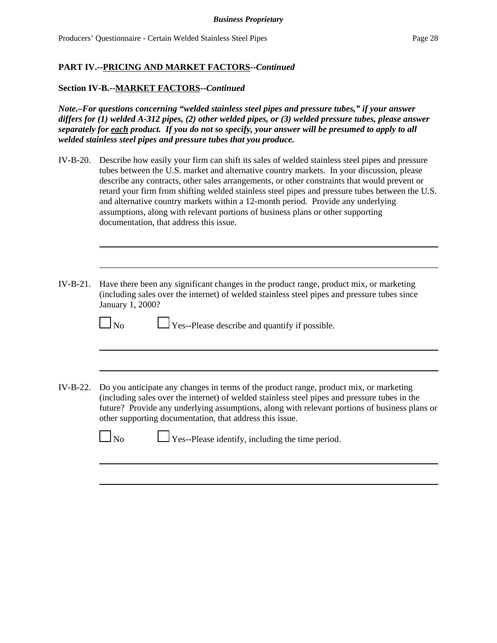### **Section IV-B.--MARKET FACTORS--***Continued*

*Note.–For questions concerning "welded stainless steel pipes and pressure tubes," if your answer differs for (1) welded A-312 pipes, (2) other welded pipes, or (3) welded pressure tubes, please answer separately for each product. If you do not so specify, your answer will be presumed to apply to all welded stainless steel pipes and pressure tubes that you produce.*

- IV-B-20. Describe how easily your firm can shift its sales of welded stainless steel pipes and pressure tubes between the U.S. market and alternative country markets. In your discussion, please describe any contracts, other sales arrangements, or other constraints that would prevent or retard your firm from shifting welded stainless steel pipes and pressure tubes between the U.S. and alternative country markets within a 12-month period. Provide any underlying assumptions, along with relevant portions of business plans or other supporting documentation, that address this issue.
- IV-B-21. Have there been any significant changes in the product range, product mix, or marketing (including sales over the internet) of welded stainless steel pipes and pressure tubes since January 1, 2000?

No Ses--Please describe and quantify if possible.

IV-B-22. Do you anticipate any changes in terms of the product range, product mix, or marketing (including sales over the internet) of welded stainless steel pipes and pressure tubes in the future? Provide any underlying assumptions, along with relevant portions of business plans or other supporting documentation, that address this issue.

 $\Box$  No  $\Box$  Yes--Please identify, including the time period.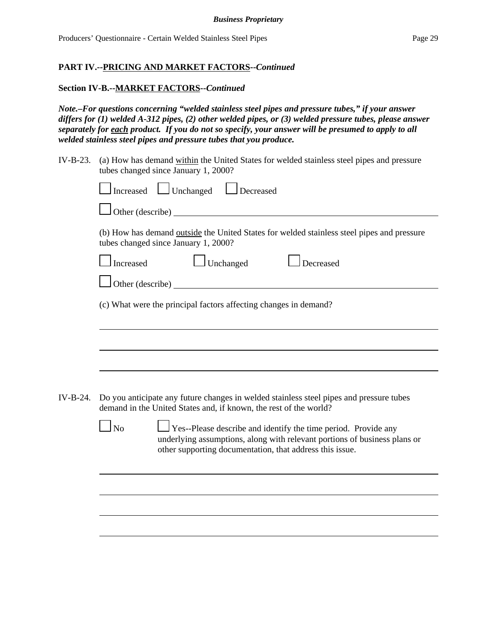# **Section IV-B.--MARKET FACTORS--***Continued*

*Note.–For questions concerning "welded stainless steel pipes and pressure tubes," if your answer differs for (1) welded A-312 pipes, (2) other welded pipes, or (3) welded pressure tubes, please answer separately for each product. If you do not so specify, your answer will be presumed to apply to all welded stainless steel pipes and pressure tubes that you produce.*

IV-B-23. (a) How has demand within the United States for welded stainless steel pipes and pressure tubes changed since January 1, 2000?

|          | Increased Unchanged <u>Decreased</u>                                                                                                                                                                                                  |  |  |
|----------|---------------------------------------------------------------------------------------------------------------------------------------------------------------------------------------------------------------------------------------|--|--|
|          |                                                                                                                                                                                                                                       |  |  |
|          | (b) How has demand outside the United States for welded stainless steel pipes and pressure<br>tubes changed since January 1, 2000?                                                                                                    |  |  |
|          | $\Box$ Unchanged<br>$\Box$ Decreased<br>Increased                                                                                                                                                                                     |  |  |
|          | Other (describe)                                                                                                                                                                                                                      |  |  |
|          | (c) What were the principal factors affecting changes in demand?                                                                                                                                                                      |  |  |
|          |                                                                                                                                                                                                                                       |  |  |
|          |                                                                                                                                                                                                                                       |  |  |
| IV-B-24. | Do you anticipate any future changes in welded stainless steel pipes and pressure tubes<br>demand in the United States and, if known, the rest of the world?                                                                          |  |  |
|          | $\overline{\rm No}$<br>$\Box$ Yes--Please describe and identify the time period. Provide any<br>underlying assumptions, along with relevant portions of business plans or<br>other supporting documentation, that address this issue. |  |  |
|          |                                                                                                                                                                                                                                       |  |  |
|          |                                                                                                                                                                                                                                       |  |  |
|          |                                                                                                                                                                                                                                       |  |  |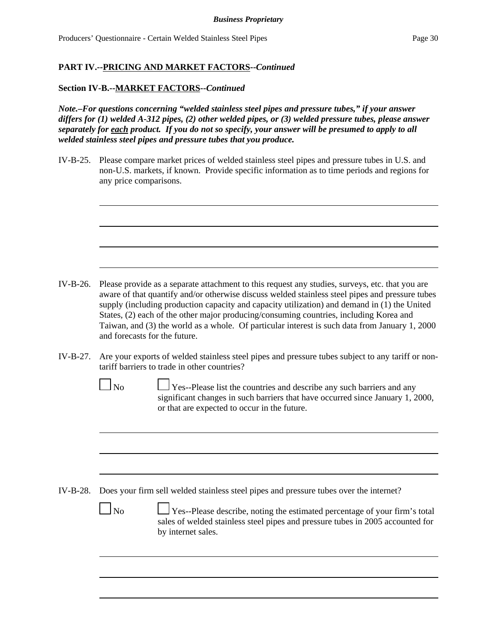#### **Section IV-B.--MARKET FACTORS--***Continued*

*Note.–For questions concerning "welded stainless steel pipes and pressure tubes," if your answer differs for (1) welded A-312 pipes, (2) other welded pipes, or (3) welded pressure tubes, please answer separately for each product. If you do not so specify, your answer will be presumed to apply to all welded stainless steel pipes and pressure tubes that you produce.*

IV-B-25. Please compare market prices of welded stainless steel pipes and pressure tubes in U.S. and non-U.S. markets, if known. Provide specific information as to time periods and regions for any price comparisons.

- IV-B-26. Please provide as a separate attachment to this request any studies, surveys, etc. that you are aware of that quantify and/or otherwise discuss welded stainless steel pipes and pressure tubes supply (including production capacity and capacity utilization) and demand in (1) the United States, (2) each of the other major producing/consuming countries, including Korea and Taiwan, and (3) the world as a whole. Of particular interest is such data from January 1, 2000 and forecasts for the future.
- IV-B-27. Are your exports of welded stainless steel pipes and pressure tubes subject to any tariff or nontariff barriers to trade in other countries?
	- $\Box$  No  $\Box$  Yes--Please list the countries and describe any such barriers and any significant changes in such barriers that have occurred since January 1, 2000, or that are expected to occur in the future.

- IV-B-28. Does your firm sell welded stainless steel pipes and pressure tubes over the internet?
	- $\Box$  No  $\Box$  Yes--Please describe, noting the estimated percentage of your firm's total sales of welded stainless steel pipes and pressure tubes in 2005 accounted for by internet sales.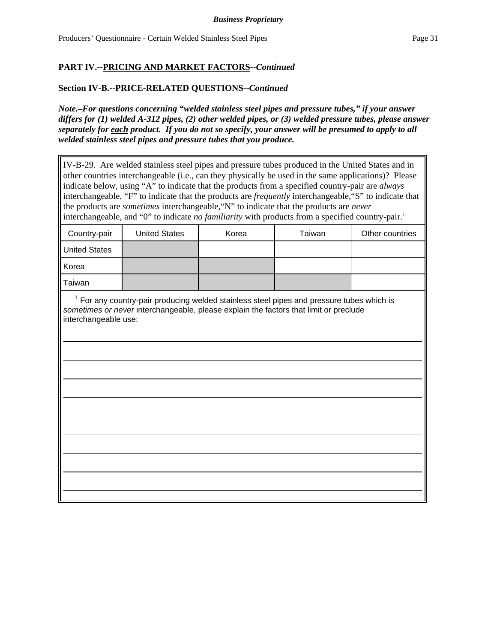# **Section IV-B.--PRICE-RELATED QUESTIONS--***Continued*

*Note.–For questions concerning "welded stainless steel pipes and pressure tubes," if your answer differs for (1) welded A-312 pipes, (2) other welded pipes, or (3) welded pressure tubes, please answer separately for each product. If you do not so specify, your answer will be presumed to apply to all welded stainless steel pipes and pressure tubes that you produce.*

IV-B-29. Are welded stainless steel pipes and pressure tubes produced in the United States and in other countries interchangeable (i.e., can they physically be used in the same applications)? Please indicate below, using "A" to indicate that the products from a specified country-pair are *always* interchangeable, "F" to indicate that the products are *frequently* interchangeable,"S" to indicate that the products are *sometimes* interchangeable,"N" to indicate that the products are *never* interchangeable, and "0" to indicate *no familiarity* with products from a specified country-pair.<sup>1</sup>

| Country-pair         | <b>United States</b> | Korea | Taiwan | Other countries |
|----------------------|----------------------|-------|--------|-----------------|
| <b>United States</b> |                      |       |        |                 |
| Korea                |                      |       |        |                 |
| Taiwan               |                      |       |        |                 |

 $<sup>1</sup>$  For any country-pair producing welded stainless steel pipes and pressure tubes which is</sup> *sometimes or never* interchangeable, please explain the factors that limit or preclude interchangeable use: